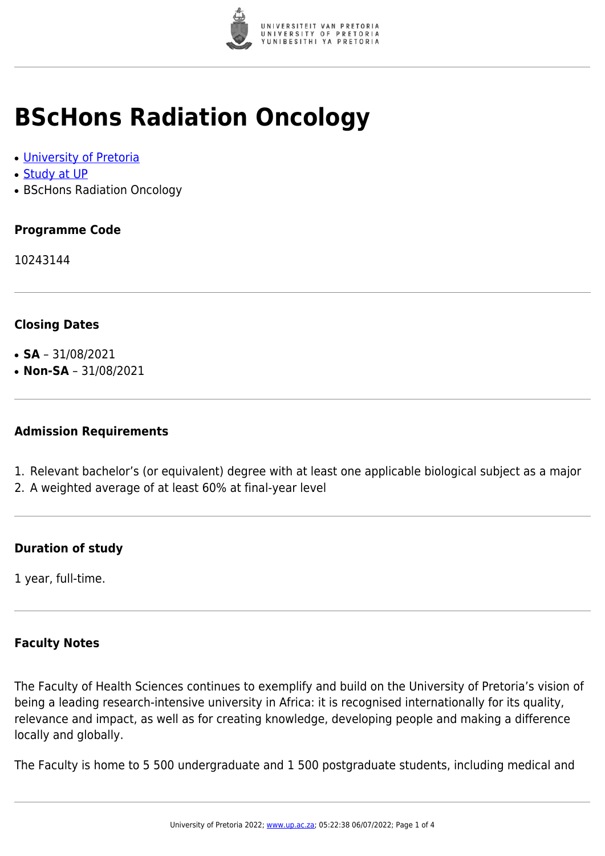

## **BScHons Radiation Oncology**

- [University of Pretoria](https://www.up.ac.za/home)
- [Study at UP](https://www.up.ac.za/programmes)
- BScHons Radiation Oncology

### **Programme Code**

10243144

#### **Closing Dates**

- $\cdot$  **SA** 31/08/2021
- $\cdot$  **Non-SA** 31/08/2021

#### **Admission Requirements**

- 1. Relevant bachelor's (or equivalent) degree with at least one applicable biological subject as a major
- 2. A weighted average of at least 60% at final-year level

#### **Duration of study**

1 year, full-time.

#### **Faculty Notes**

The Faculty of Health Sciences continues to exemplify and build on the University of Pretoria's vision of being a leading research-intensive university in Africa: it is recognised internationally for its quality, relevance and impact, as well as for creating knowledge, developing people and making a difference locally and globally.

The Faculty is home to 5 500 undergraduate and 1 500 postgraduate students, including medical and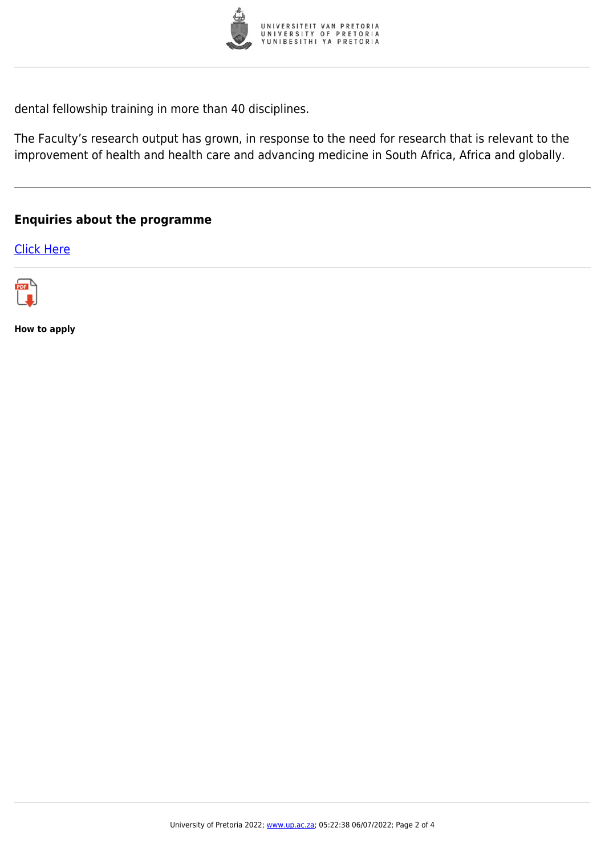

dental fellowship training in more than 40 disciplines.

The Faculty's research output has grown, in response to the need for research that is relevant to the improvement of health and health care and advancing medicine in South Africa, Africa and globally.

#### **Enquiries about the programme**

[Click Here](https://www.up.ac.za/postgraduate-students)



**How to apply**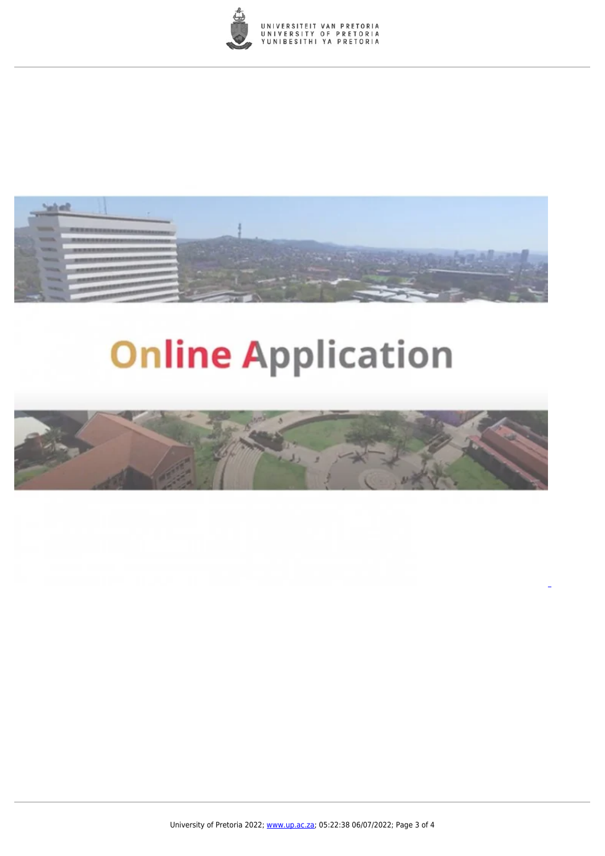



# **Online Application**